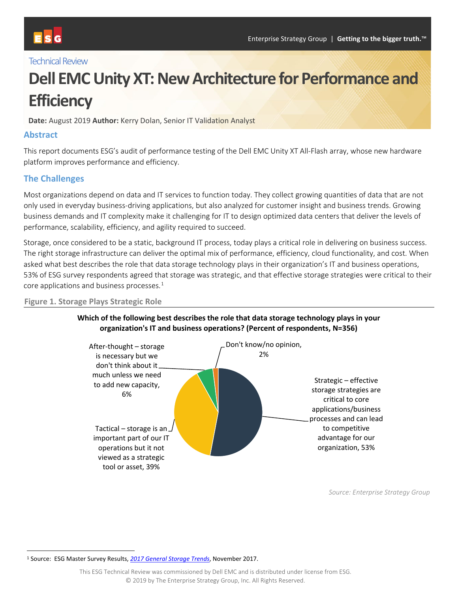# **Technical Review**

# **Dell EMC Unity XT: New Architecture for Performance and Efficiency**

**Date:** August 2019 **Author:** Kerry Dolan, Senior IT Validation Analyst

#### **Abstract**

This report documents ESG's audit of performance testing of the Dell EMC Unity XT All-Flash array, whose new hardware platform improves performance and efficiency.

#### **The Challenges**

Most organizations depend on data and IT services to function today. They collect growing quantities of data that are not only used in everyday business-driving applications, but also analyzed for customer insight and business trends. Growing business demands and IT complexity make it challenging for IT to design optimized data centers that deliver the levels of performance, scalability, efficiency, and agility required to succeed.

Storage, once considered to be a static, background IT process, today plays a critical role in delivering on business success. The right storage infrastructure can deliver the optimal mix of performance, efficiency, cloud functionality, and cost. When asked what best describes the role that data storage technology plays in their organization's IT and business operations, 53% of ESG survey respondents agreed that storage was strategic, and that effective storage strategies were critical to their core applications and business processes. $1$ 

#### **Figure 1. Storage Plays Strategic Role**



#### **Which of the following best describes the role that data storage technology plays in your organization's IT and business operations? (Percent of respondents, N=356)**

*Source: Enterprise Strategy Group*

<span id="page-0-0"></span> <sup>1</sup> Source: ESG Master Survey Results, *[2017 General Storage Trends](https://research.esg-global.com/reportaction/msr2017GeneralStorageTrends/Toc)*, November 2017.

This ESG Technical Review was commissioned by Dell EMC and is distributed under license from ESG. © 2019 by The Enterprise Strategy Group, Inc. All Rights Reserved.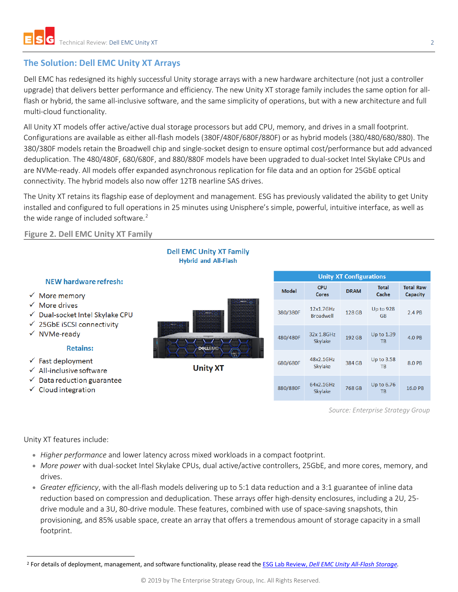# **The Solution: Dell EMC Unity XT Arrays**

Dell EMC has redesigned its highly successful Unity storage arrays with a new hardware architecture (not just a controller upgrade) that delivers better performance and efficiency. The new Unity XT storage family includes the same option for allflash or hybrid, the same all-inclusive software, and the same simplicity of operations, but with a new architecture and full multi-cloud functionality.

All Unity XT models offer active/active dual storage processors but add CPU, memory, and drives in a small footprint. Configurations are available as either all-flash models (380F/480F/680F/880F) or as hybrid models (380/480/680/880). The 380/380F models retain the Broadwell chip and single-socket design to ensure optimal cost/performance but add advanced deduplication. The 480/480F, 680/680F, and 880/880F models have been upgraded to dual-socket Intel Skylake CPUs and are NVMe-ready. All models offer expanded asynchronous replication for file data and an option for 25GbE optical connectivity. The hybrid models also now offer 12TB nearline SAS drives.

The Unity XT retains its flagship ease of deployment and management. ESG has previously validated the ability to get Unity installed and configured to full operations in 25 minutes using Unisphere's simple, powerful, intuitive interface, as well as the wide range of included software.<sup>[2](#page-1-0)</sup>

#### **Figure 2. Dell EMC Unity XT Family**



*Source: Enterprise Strategy Group*

Unity XT features include:

- *Higher performance* and lower latency across mixed workloads in a compact footprint.
- *More power* with dual-socket Intel Skylake CPUs, dual active/active controllers, 25GbE, and more cores, memory, and drives.
- *Greater efficiency*, with the all-flash models delivering up to 5:1 data reduction and a 3:1 guarantee of inline data reduction based on compression and deduplication. These arrays offer high-density enclosures, including a 2U, 25 drive module and a 3U, 80-drive module. These features, combined with use of space-saving snapshots, thin provisioning, and 85% usable space, create an array that offers a tremendous amount of storage capacity in a small footprint.

<span id="page-1-0"></span> <sup>2</sup> For details of deployment, management, and software functionality, please read the ESG Lab Review, *[Dell EMC Unity All-Flash Storage.](https://www.emc.com/collateral/analyst-reports/esg-lab-review-dell-emc-unity.pdf)*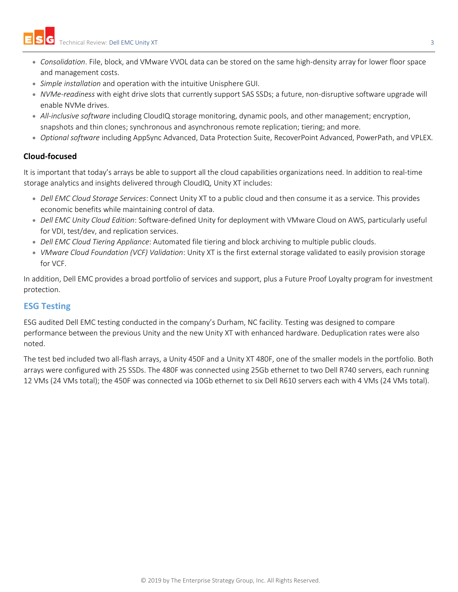- *Consolidation*. File, block, and VMware VVOL data can be stored on the same high-density array for lower floor space and management costs.
- *Simple installation* and operation with the intuitive Unisphere GUI.
- *NVMe-readiness* with eight drive slots that currently support SAS SSDs; a future, non-disruptive software upgrade will enable NVMe drives.
- *All-inclusive software* including CloudIQ storage monitoring, dynamic pools, and other management; encryption, snapshots and thin clones; synchronous and asynchronous remote replication; tiering; and more.
- *Optional software* including AppSync Advanced, Data Protection Suite, RecoverPoint Advanced, PowerPath, and VPLEX.

## **Cloud-focused**

It is important that today's arrays be able to support all the cloud capabilities organizations need. In addition to real-time storage analytics and insights delivered through CloudIQ, Unity XT includes:

- *Dell EMC Cloud Storage Services*: Connect Unity XT to a public cloud and then consume it as a service. This provides economic benefits while maintaining control of data.
- *Dell EMC Unity Cloud Edition*: Software-defined Unity for deployment with VMware Cloud on AWS, particularly useful for VDI, test/dev, and replication services.
- *Dell EMC Cloud Tiering Appliance*: Automated file tiering and block archiving to multiple public clouds.
- *VMware Cloud Foundation (VCF) Validation*: Unity XT is the first external storage validated to easily provision storage for VCF.

In addition, Dell EMC provides a broad portfolio of services and support, plus a Future Proof Loyalty program for investment protection.

## **ESG Testing**

ESG audited Dell EMC testing conducted in the company's Durham, NC facility. Testing was designed to compare performance between the previous Unity and the new Unity XT with enhanced hardware. Deduplication rates were also noted.

The test bed included two all-flash arrays, a Unity 450F and a Unity XT 480F, one of the smaller models in the portfolio. Both arrays were configured with 25 SSDs. The 480F was connected using 25Gb ethernet to two Dell R740 servers, each running 12 VMs (24 VMs total); the 450F was connected via 10Gb ethernet to six Dell R610 servers each with 4 VMs (24 VMs total).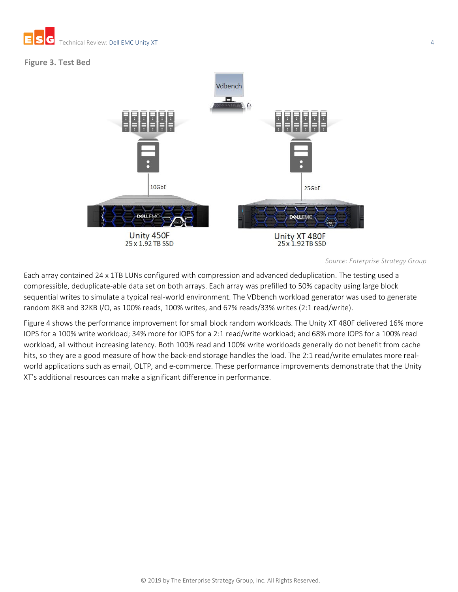

#### **Figure 3. Test Bed**



*Source: Enterprise Strategy Group*

Each array contained 24 x 1TB LUNs configured with compression and advanced deduplication. The testing used a compressible, deduplicate-able data set on both arrays. Each array was prefilled to 50% capacity using large block sequential writes to simulate a typical real-world environment. The VDbench workload generator was used to generate random 8KB and 32KB I/O, as 100% reads, 100% writes, and 67% reads/33% writes (2:1 read/write).

Figure 4 shows the performance improvement for small block random workloads. The Unity XT 480F delivered 16% more IOPS for a 100% write workload; 34% more for IOPS for a 2:1 read/write workload; and 68% more IOPS for a 100% read workload, all without increasing latency. Both 100% read and 100% write workloads generally do not benefit from cache hits, so they are a good measure of how the back-end storage handles the load. The 2:1 read/write emulates more realworld applications such as email, OLTP, and e-commerce. These performance improvements demonstrate that the Unity XT's additional resources can make a significant difference in performance.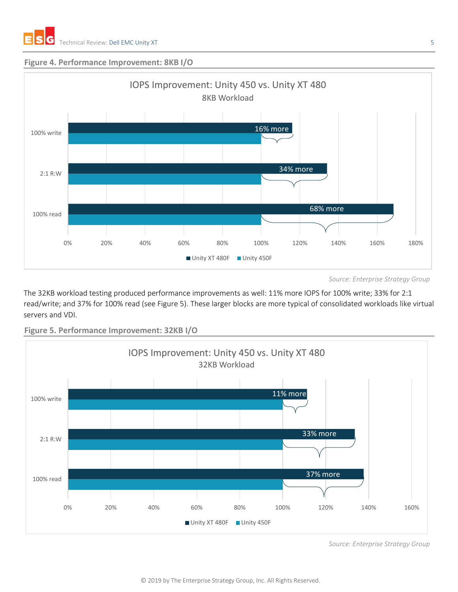#### **Figure 4. Performance Improvement: 8KB I/O**



*Source: Enterprise Strategy Group*

The 32KB workload testing produced performance improvements as well: 11% more IOPS for 100% write; 33% for 2:1 read/write; and 37% for 100% read (see Figure 5). These larger blocks are more typical of consolidated workloads like virtual servers and VDI.



**Figure 5. Performance Improvement: 32KB I/O**

*Source: Enterprise Strategy Group*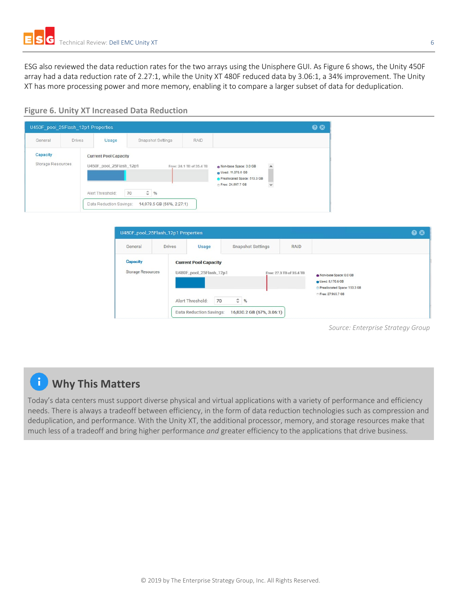ESG also reviewed the data reduction rates for the two arrays using the Unisphere GUI. As Figure 6 shows, the Unity 450F array had a data reduction rate of 2.27:1, while the Unity XT 480F reduced data by 3.06:1, a 34% improvement. The Unity XT has more processing power and more memory, enabling it to compare a larger subset of data for deduplication.



| General                       | <b>Drives</b> | Usage                                                   | Snapshot Settings    | <b>RAID</b>              |                                                                             |                     |  |
|-------------------------------|---------------|---------------------------------------------------------|----------------------|--------------------------|-----------------------------------------------------------------------------|---------------------|--|
| Capacity<br>Storage Resources |               | <b>Current Pool Capacity</b><br>U450F pool 25Flash 12p1 |                      | Free: 24.1 TB of 35.4 TB | Non-base Space: 0.0 GB<br>Used: 11,078.6 GB<br>Preallocated Space: 513.3 GB | $\hat{\phantom{a}}$ |  |
|                               |               | Alert Threshold:                                        | $\frac{4}{96}$<br>70 |                          | Free: 24,697.7 GB                                                           | $\checkmark$        |  |



*Source: Enterprise Strategy Group*

# **Why This Matters**

Today's data centers must support diverse physical and virtual applications with a variety of performance and efficiency needs. There is always a tradeoff between efficiency, in the form of data reduction technologies such as compression and deduplication, and performance. With the Unity XT, the additional processor, memory, and storage resources make that much less of a tradeoff and bring higher performance *and* greater efficiency to the applications that drive business.